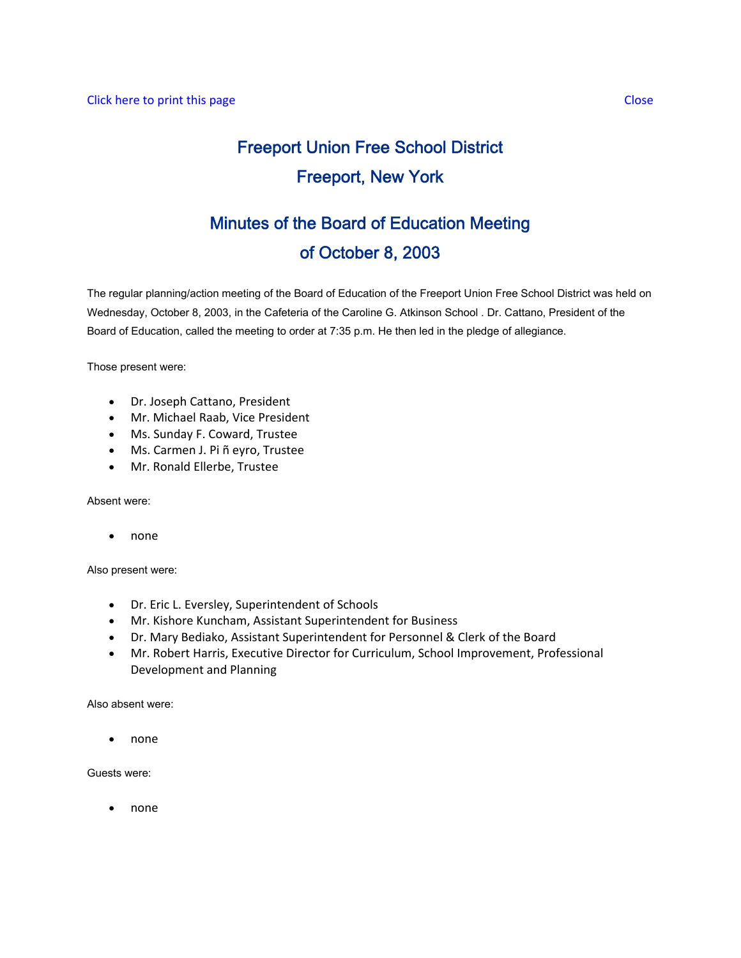# Freeport Union Free School District Freeport, New York

## Minutes of the Board of Education Meeting of October 8, 2003

The regular planning/action meeting of the Board of Education of the Freeport Union Free School District was held on Wednesday, October 8, 2003, in the Cafeteria of the Caroline G. Atkinson School . Dr. Cattano, President of the Board of Education, called the meeting to order at 7:35 p.m. He then led in the pledge of allegiance.

Those present were:

- Dr. Joseph Cattano, President
- Mr. Michael Raab, Vice President
- Ms. Sunday F. Coward, Trustee
- Ms. Carmen J. Pi ñ eyro, Trustee
- Mr. Ronald Ellerbe, Trustee

Absent were:

• none

Also present were:

- Dr. Eric L. Eversley, Superintendent of Schools
- Mr. Kishore Kuncham, Assistant Superintendent for Business
- Dr. Mary Bediako, Assistant Superintendent for Personnel & Clerk of the Board
- Mr. Robert Harris, Executive Director for Curriculum, School Improvement, Professional Development and Planning

Also absent were:

• none

Guests were:

• none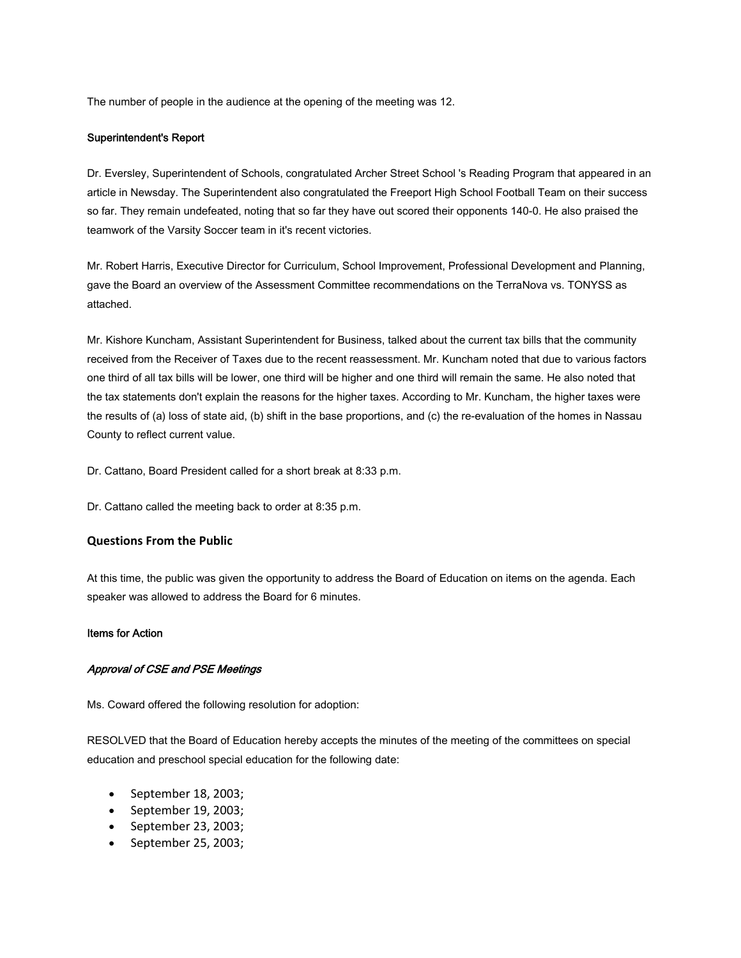The number of people in the audience at the opening of the meeting was 12.

#### Superintendent's Report

Dr. Eversley, Superintendent of Schools, congratulated Archer Street School 's Reading Program that appeared in an article in Newsday. The Superintendent also congratulated the Freeport High School Football Team on their success so far. They remain undefeated, noting that so far they have out scored their opponents 140-0. He also praised the teamwork of the Varsity Soccer team in it's recent victories.

Mr. Robert Harris, Executive Director for Curriculum, School Improvement, Professional Development and Planning, gave the Board an overview of the Assessment Committee recommendations on the TerraNova vs. TONYSS as attached.

Mr. Kishore Kuncham, Assistant Superintendent for Business, talked about the current tax bills that the community received from the Receiver of Taxes due to the recent reassessment. Mr. Kuncham noted that due to various factors one third of all tax bills will be lower, one third will be higher and one third will remain the same. He also noted that the tax statements don't explain the reasons for the higher taxes. According to Mr. Kuncham, the higher taxes were the results of (a) loss of state aid, (b) shift in the base proportions, and (c) the re-evaluation of the homes in Nassau County to reflect current value.

Dr. Cattano, Board President called for a short break at 8:33 p.m.

Dr. Cattano called the meeting back to order at 8:35 p.m.

#### **Questions From the Public**

At this time, the public was given the opportunity to address the Board of Education on items on the agenda. Each speaker was allowed to address the Board for 6 minutes.

#### Items for Action

#### Approval of CSE and PSE Meetings

Ms. Coward offered the following resolution for adoption:

RESOLVED that the Board of Education hereby accepts the minutes of the meeting of the committees on special education and preschool special education for the following date:

- September 18, 2003;
- September 19, 2003;
- September 23, 2003;
- September 25, 2003;